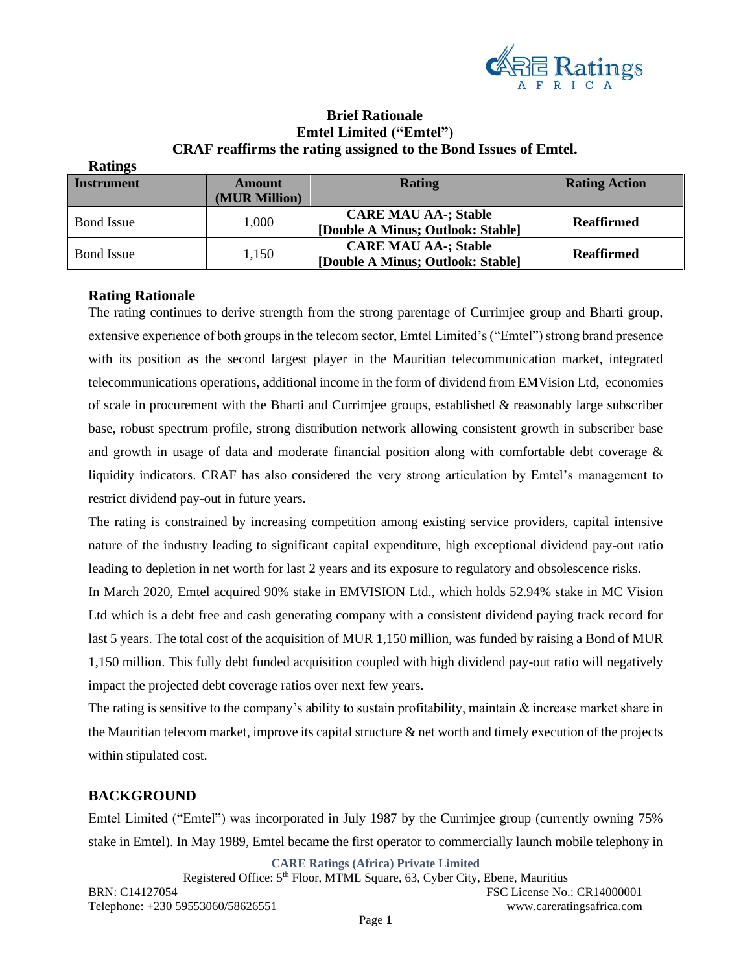

# **Brief Rationale Emtel Limited ("Emtel") CRAF reaffirms the rating assigned to the Bond Issues of Emtel.**

| Rauligs           |               |                                   |                      |
|-------------------|---------------|-----------------------------------|----------------------|
| <b>Instrument</b> | <b>Amount</b> | <b>Rating</b>                     | <b>Rating Action</b> |
|                   | (MUR Million) |                                   |                      |
| <b>Bond</b> Issue | 1,000         | <b>CARE MAU AA-; Stable</b>       | <b>Reaffirmed</b>    |
|                   |               | [Double A Minus; Outlook: Stable] |                      |
| <b>Bond Issue</b> | 1,150         | <b>CARE MAU AA-; Stable</b>       | <b>Reaffirmed</b>    |
|                   |               | [Double A Minus; Outlook: Stable] |                      |

# **Rating Rationale**

**Ratings**

The rating continues to derive strength from the strong parentage of Currimjee group and Bharti group, extensive experience of both groups in the telecom sector, Emtel Limited's ("Emtel") strong brand presence with its position as the second largest player in the Mauritian telecommunication market, integrated telecommunications operations, additional income in the form of dividend from EMVision Ltd, economies of scale in procurement with the Bharti and Currimjee groups, established & reasonably large subscriber base, robust spectrum profile, strong distribution network allowing consistent growth in subscriber base and growth in usage of data and moderate financial position along with comfortable debt coverage & liquidity indicators. CRAF has also considered the very strong articulation by Emtel's management to restrict dividend pay-out in future years.

The rating is constrained by increasing competition among existing service providers, capital intensive nature of the industry leading to significant capital expenditure, high exceptional dividend pay-out ratio leading to depletion in net worth for last 2 years and its exposure to regulatory and obsolescence risks.

In March 2020, Emtel acquired 90% stake in EMVISION Ltd., which holds 52.94% stake in MC Vision Ltd which is a debt free and cash generating company with a consistent dividend paying track record for last 5 years. The total cost of the acquisition of MUR 1,150 million, was funded by raising a Bond of MUR 1,150 million. This fully debt funded acquisition coupled with high dividend pay-out ratio will negatively impact the projected debt coverage ratios over next few years.

The rating is sensitive to the company's ability to sustain profitability, maintain & increase market share in the Mauritian telecom market, improve its capital structure & net worth and timely execution of the projects within stipulated cost.

## **BACKGROUND**

Emtel Limited ("Emtel") was incorporated in July 1987 by the Currimjee group (currently owning 75% stake in Emtel). In May 1989, Emtel became the first operator to commercially launch mobile telephony in

**CARE Ratings (Africa) Private Limited**

Registered Office: 5<sup>th</sup> Floor, MTML Square, 63, Cyber City, Ebene, Mauritius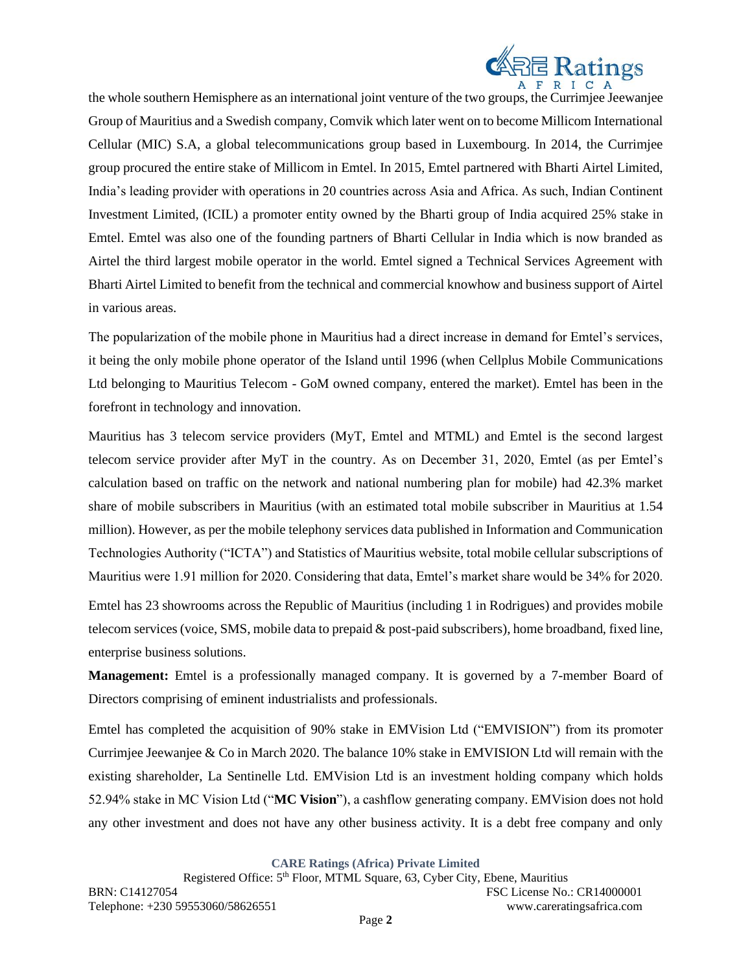

the whole southern Hemisphere as an international joint venture of the two groups, the Currimjee Jeewanjee Group of Mauritius and a Swedish company, Comvik which later went on to become Millicom International Cellular (MIC) S.A, a global telecommunications group based in Luxembourg. In 2014, the Currimjee group procured the entire stake of Millicom in Emtel. In 2015, Emtel partnered with Bharti Airtel Limited, India's leading provider with operations in 20 countries across Asia and Africa. As such, Indian Continent Investment Limited, (ICIL) a promoter entity owned by the Bharti group of India acquired 25% stake in Emtel. Emtel was also one of the founding partners of Bharti Cellular in India which is now branded as Airtel the third largest mobile operator in the world. Emtel signed a Technical Services Agreement with Bharti Airtel Limited to benefit from the technical and commercial knowhow and business support of Airtel in various areas.

The popularization of the mobile phone in Mauritius had a direct increase in demand for Emtel's services, it being the only mobile phone operator of the Island until 1996 (when Cellplus Mobile Communications Ltd belonging to Mauritius Telecom - GoM owned company, entered the market). Emtel has been in the forefront in technology and innovation.

Mauritius has 3 telecom service providers (MyT, Emtel and MTML) and Emtel is the second largest telecom service provider after MyT in the country. As on December 31, 2020, Emtel (as per Emtel's calculation based on traffic on the network and national numbering plan for mobile) had 42.3% market share of mobile subscribers in Mauritius (with an estimated total mobile subscriber in Mauritius at 1.54 million). However, as per the mobile telephony services data published in Information and Communication Technologies Authority ("ICTA") and Statistics of Mauritius website, total mobile cellular subscriptions of Mauritius were 1.91 million for 2020. Considering that data, Emtel's market share would be 34% for 2020.

Emtel has 23 showrooms across the Republic of Mauritius (including 1 in Rodrigues) and provides mobile telecom services (voice, SMS, mobile data to prepaid & post-paid subscribers), home broadband, fixed line, enterprise business solutions.

**Management:** Emtel is a professionally managed company. It is governed by a 7-member Board of Directors comprising of eminent industrialists and professionals.

Emtel has completed the acquisition of 90% stake in EMVision Ltd ("EMVISION") from its promoter Currimjee Jeewanjee & Co in March 2020. The balance 10% stake in EMVISION Ltd will remain with the existing shareholder, La Sentinelle Ltd. EMVision Ltd is an investment holding company which holds 52.94% stake in MC Vision Ltd ("**MC Vision**"), a cashflow generating company. EMVision does not hold any other investment and does not have any other business activity. It is a debt free company and only

**CARE Ratings (Africa) Private Limited**

Registered Office: 5<sup>th</sup> Floor, MTML Square, 63, Cyber City, Ebene, Mauritius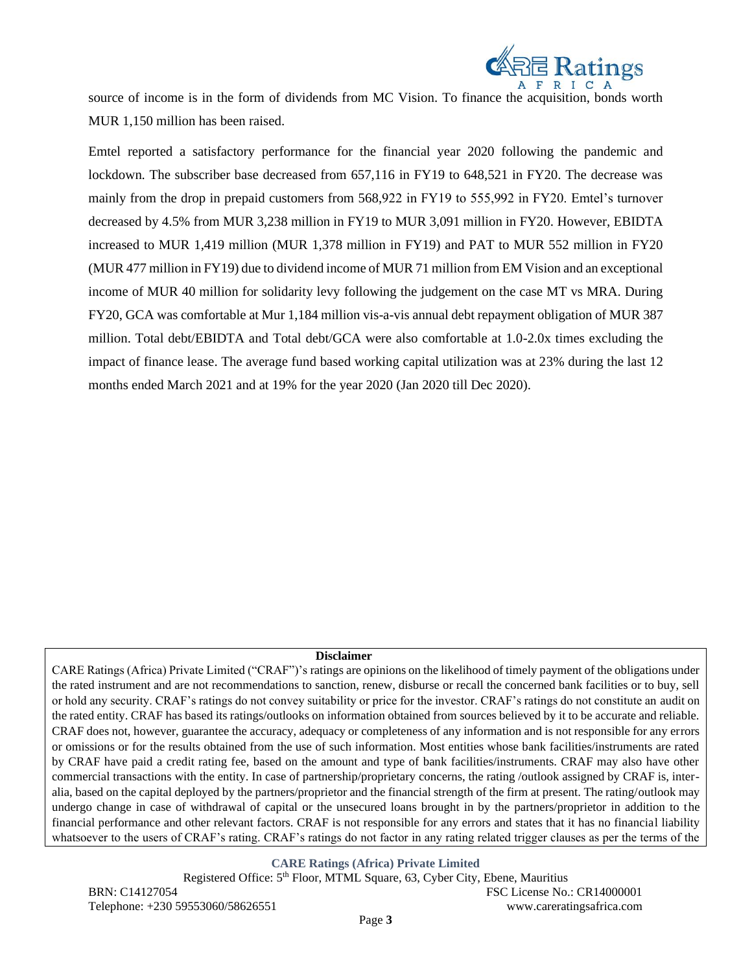

source of income is in the form of dividends from MC Vision. To finance the acquisition, bonds worth MUR 1,150 million has been raised.

Emtel reported a satisfactory performance for the financial year 2020 following the pandemic and lockdown. The subscriber base decreased from 657,116 in FY19 to 648,521 in FY20. The decrease was mainly from the drop in prepaid customers from 568,922 in FY19 to 555,992 in FY20. Emtel's turnover decreased by 4.5% from MUR 3,238 million in FY19 to MUR 3,091 million in FY20. However, EBIDTA increased to MUR 1,419 million (MUR 1,378 million in FY19) and PAT to MUR 552 million in FY20 (MUR 477 million in FY19) due to dividend income of MUR 71 million from EM Vision and an exceptional income of MUR 40 million for solidarity levy following the judgement on the case MT vs MRA. During FY20, GCA was comfortable at Mur 1,184 million vis-a-vis annual debt repayment obligation of MUR 387 million. Total debt/EBIDTA and Total debt/GCA were also comfortable at 1.0-2.0x times excluding the impact of finance lease. The average fund based working capital utilization was at 23% during the last 12 months ended March 2021 and at 19% for the year 2020 (Jan 2020 till Dec 2020).

#### **Disclaimer**

CARE Ratings (Africa) Private Limited ("CRAF")'s ratings are opinions on the likelihood of timely payment of the obligations under the rated instrument and are not recommendations to sanction, renew, disburse or recall the concerned bank facilities or to buy, sell or hold any security. CRAF's ratings do not convey suitability or price for the investor. CRAF's ratings do not constitute an audit on the rated entity. CRAF has based its ratings/outlooks on information obtained from sources believed by it to be accurate and reliable. CRAF does not, however, guarantee the accuracy, adequacy or completeness of any information and is not responsible for any errors or omissions or for the results obtained from the use of such information. Most entities whose bank facilities/instruments are rated by CRAF have paid a credit rating fee, based on the amount and type of bank facilities/instruments. CRAF may also have other commercial transactions with the entity. In case of partnership/proprietary concerns, the rating /outlook assigned by CRAF is, interalia, based on the capital deployed by the partners/proprietor and the financial strength of the firm at present. The rating/outlook may undergo change in case of withdrawal of capital or the unsecured loans brought in by the partners/proprietor in addition to the financial performance and other relevant factors. CRAF is not responsible for any errors and states that it has no financial liability whatsoever to the users of CRAF's rating. CRAF's ratings do not factor in any rating related trigger clauses as per the terms of the

**CARE Ratings (Africa) Private Limited**

Registered Office: 5<sup>th</sup> Floor, MTML Square, 63, Cyber City, Ebene, Mauritius BRN: C14127054 FSC License No.: CR14000001